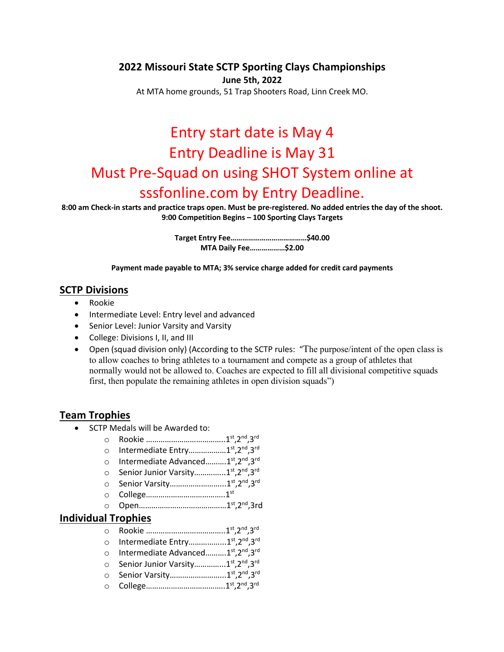#### **2022 Missouri State SCTP Sporting Clays Championships**

**June 5th, 2022**

At MTA home grounds, 51 Trap Shooters Road, Linn Creek MO.

# Entry start date is May 4 Entry Deadline is May 31 Must Pre-Squad on using SHOT System online at sssfonline.com by Entry Deadline.

**8:00 am Check-in starts and practice traps open. Must be pre-registered. No added entries the day of the shoot. 9:00 Competition Begins – 100 Sporting Clays Targets**

> **Target Entry Fee…………………………………\$40.00 MTA Daily Fee………………\$2.00**

**Payment made payable to MTA; 3% service charge added for credit card payments**

#### **SCTP Divisions**

- Rookie
- Intermediate Level: Entry level and advanced
- Senior Level: Junior Varsity and Varsity
- College: Divisions I, II, and III
- Open (squad division only) (According to the SCTP rules: "The purpose/intent of the open class is to allow coaches to bring athletes to a tournament and compete as a group of athletes that normally would not be allowed to. Coaches are expected to fill all divisional competitive squads first, then populate the remaining athletes in open division squads")

### **Team Trophies**

- SCTP Medals will be Awarded to:
	- o Rookie ………………………………..1st,2nd,3rd
	- o Intermediate Entry………………1st,2nd,3rd
	- o Intermediate Advanced..........1<sup>st</sup>,2<sup>nd</sup>,3<sup>rd</sup>
	- o Senior Junior Varsity................1<sup>st</sup>,2<sup>nd</sup>,3<sup>rd</sup>
	- o Senior Varsity……………………...1st,2nd,3rd
	- o College………………………………..1st
	- o Open……………………………………1st,2nd,3rd

#### **Individual Trophies**

- o Rookie ………………………………..1st,2nd,3rd
- o Intermediate Entry...................1<sup>st</sup>,2<sup>nd</sup>.3<sup>rd</sup>
- o Intermediate Advanced..........1<sup>st</sup>,2<sup>nd</sup>,3<sup>rd</sup>
- o Senior Junior Varsity................1<sup>st</sup>,2<sup>nd</sup>,3<sup>rd</sup>
- o Senior Varsity……………………...1st,2nd,3rd
- o College………………………………..1st,2nd,3rd